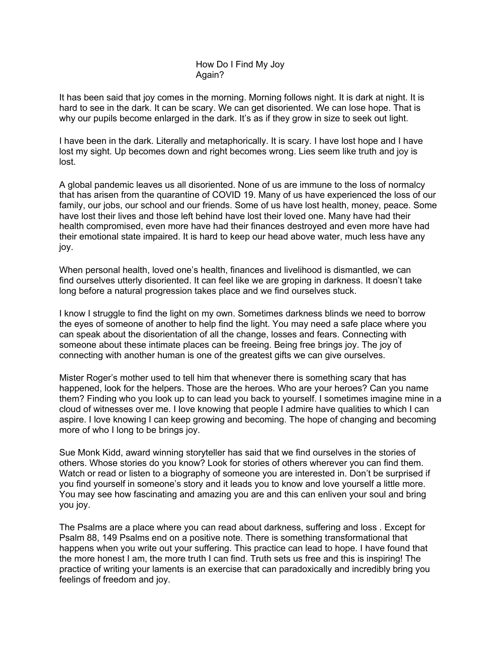## How Do I Find My Joy Again?

It has been said that joy comes in the morning. Morning follows night. It is dark at night. It is hard to see in the dark. It can be scary. We can get disoriented. We can lose hope. That is why our pupils become enlarged in the dark. It's as if they grow in size to seek out light.

I have been in the dark. Literally and metaphorically. It is scary. I have lost hope and I have lost my sight. Up becomes down and right becomes wrong. Lies seem like truth and joy is lost.

A global pandemic leaves us all disoriented. None of us are immune to the loss of normalcy that has arisen from the quarantine of COVID 19. Many of us have experienced the loss of our family, our jobs, our school and our friends. Some of us have lost health, money, peace. Some have lost their lives and those left behind have lost their loved one. Many have had their health compromised, even more have had their finances destroyed and even more have had their emotional state impaired. It is hard to keep our head above water, much less have any joy.

When personal health, loved one's health, finances and livelihood is dismantled, we can find ourselves utterly disoriented. It can feel like we are groping in darkness. It doesn't take long before a natural progression takes place and we find ourselves stuck.

I know I struggle to find the light on my own. Sometimes darkness blinds we need to borrow the eyes of someone of another to help find the light. You may need a safe place where you can speak about the disorientation of all the change, losses and fears. Connecting with someone about these intimate places can be freeing. Being free brings joy. The joy of connecting with another human is one of the greatest gifts we can give ourselves.

Mister Roger's mother used to tell him that whenever there is something scary that has happened, look for the helpers. Those are the heroes. Who are your heroes? Can you name them? Finding who you look up to can lead you back to yourself. I sometimes imagine mine in a cloud of witnesses over me. I love knowing that people I admire have qualities to which I can aspire. I love knowing I can keep growing and becoming. The hope of changing and becoming more of who I long to be brings joy.

Sue Monk Kidd, award winning storyteller has said that we find ourselves in the stories of others. Whose stories do you know? Look for stories of others wherever you can find them. Watch or read or listen to a biography of someone you are interested in. Don't be surprised if you find yourself in someone's story and it leads you to know and love yourself a little more. You may see how fascinating and amazing you are and this can enliven your soul and bring you joy.

The Psalms are a place where you can read about darkness, suffering and loss . Except for Psalm 88, 149 Psalms end on a positive note. There is something transformational that happens when you write out your suffering. This practice can lead to hope. I have found that the more honest I am, the more truth I can find. Truth sets us free and this is inspiring! The practice of writing your laments is an exercise that can paradoxically and incredibly bring you feelings of freedom and joy.